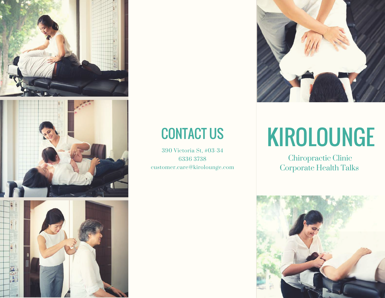





## CONTACT US

390 Victoria St, #03-34 6336 3738 customer.care@kirolounge.com



# KIROLOUNGE

Chiropractic Clinic Corporate Health Talks

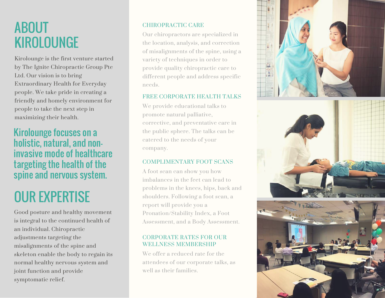### ABOUT KIROLOUNGE

Kirolounge is the first venture started by The Ignite Chiropractic Group Pte Ltd. Our vision is to bring Extraordinary Health for Everyday people. We take pride in creating a friendly and homely environment for people to take the next step in maximizing their health.

### Kirolounge focuses on a holistic, natural, and noninvasive mode of healthcare targeting the health of the spine and nervous system.

## OUR EXPERTISE

Good posture and healthy movement is integral to the continued health of an individual. Chiropractic adjustments targeting the misalignments of the spine and skeleton enable the body to regain its normal healthy nervous system and joint function and provide symptomatic relief.

#### CHIROPRACTIC CARE

Our chiropractors are specialized in the location, analysis, and correction of misalignments of the spine, using a variety of techniques in order to provide quality chiropractic care to different people and address specific needs.

#### FREE CORPORATE HEALTH TALKS

We provide educational talks to promote natural palliative, corrective, and preventative care in the public sphere. The talks can be catered to the needs of your company.

### COMPLIMENTARY FOOT SCANS

A foot scan can show you how imbalances in the feet can lead to problems in the knees, hips, back and shoulders. Following a foot scan, a report will provide you a Pronation/Stability Index, a Foot Assessment, and a Body Assessment.

### CORPORATE RATES FOR OUR WELLNESS MEMBERSHIP

We offer a reduced rate for the attendees of our corporate talks, as well as their families.





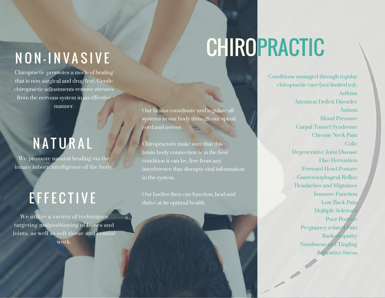# N O N - I N V A S I V E

Chiropractic promotes a mode of healing that is non-surgical and drug free. Gentle chiropractic adjustments remove stresses from the nervous system in an effective manner.

## **NATURAL**

We promote natural healing via the innate inborn intelligence of the body.

## **EFFECTIVE**

We utilize a variety of techniques targeting malpositioning of bones and joints, as well as soft tissue and cranial work.

# **CHIROPRACTIC**

Our brains coordinate and regulate all systems in our body through our spinal cord and nerves.

Chiropractors make sure that this brain-body connection is in the best condition it can be, free from any interference that disrupts vital information

Our bodies then can function, heal and thrive at its optimal health.

Conditions managed through regular chiropractic care (not limited to):: Asthma Attention Deficit Disorder Autism Blood Pressure Carpal Tunnel Syndrome Chronic Neck Pain Colic Degenerative Joint Disease Disc Herniation Forward Head Posture Gastroesophageal Reflux Headaches and Migraines Immune Function Low Back Pain Multiple Sclerosis Poor Posture Pregnancy-related Pain Radiculopathy Numbness and Tingling Repetitive Stress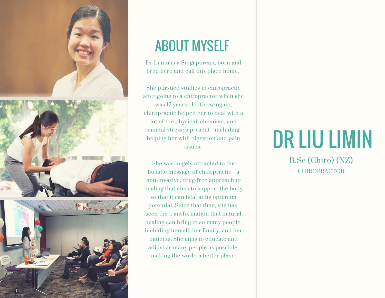

## ABOUT MYSELF

Dr Limin is a Singaporean, born and bred here and call this place home.

She pursued studies in chiropractic after going to a chiropractor when she was 17 years old. Growing up, chiropractic helped her to deal with a lot of the physical, chemical, and mental stresses present - including helping her with digestion and pain issues.

She was hugely attracted to the holistic message of chiropractic - a non-invasive, drug-free approach to healing that aims to support the body so that it can heal at its optimum potential. Since that time, she has seen the transformation that natural healing can bring to so many people, including herself, her family, and her patients. She aims to educate and adjust as many people as possible, making the world a better place.

# DR LIU LIMIN

**CHIROPRACTOR** B.Sc (Chiro) (NZ)